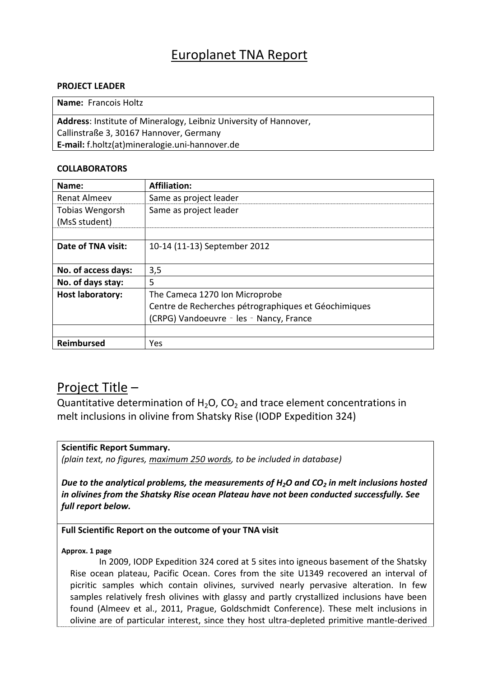# Europlanet TNA Report

### **PROJECT LEADER**

**Name:** Francois Holtz

**Address**: Institute of Mineralogy, Leibniz University of Hannover, Callinstraße 3, 30167 Hannover, Germany **E-mail:** f.holtz(at)mineralogie.uni‐hannover.de

### **COLLABORATORS**

| Name:                   | <b>Affiliation:</b>                                  |
|-------------------------|------------------------------------------------------|
| <b>Renat Almeev</b>     | Same as project leader                               |
| Tobias Wengorsh         | Same as project leader                               |
| (MsS student)           |                                                      |
|                         |                                                      |
| Date of TNA visit:      | 10-14 (11-13) September 2012                         |
|                         |                                                      |
| No. of access days:     | 3,5                                                  |
| No. of days stay:       | 5                                                    |
| <b>Host laboratory:</b> | The Cameca 1270 Ion Microprobe                       |
|                         | Centre de Recherches pétrographiques et Géochimiques |
|                         | (CRPG) Vandoeuvre - les - Nancy, France              |
|                         |                                                      |
| Reimbursed              | Yes                                                  |

## Project Title –

Quantitative determination of  $H_2O$ , CO<sub>2</sub> and trace element concentrations in melt inclusions in olivine from Shatsky Rise (IODP Expedition 324)

## **Scientific Report Summary.**

*(plain text, no figures, maximum 250 words, to be included in database)*

*Due to the analytical problems, the measurements of H2O and CO<sup>2</sup> in melt inclusions hosted in olivines from the Shatsky Rise ocean Plateau have not been conducted successfully. See full report below.*

### **Full Scientific Report on the outcome of your TNA visit**

**Approx. 1 page**

In 2009, IODP Expedition 324 cored at 5 sites into igneous basement of the Shatsky Rise ocean plateau, Pacific Ocean. Cores from the site U1349 recovered an interval of picritic samples which contain olivines, survived nearly pervasive alteration. In few samples relatively fresh olivines with glassy and partly crystallized inclusions have been found (Almeev et al., 2011, Prague, Goldschmidt Conference). These melt inclusions in olivine are of particular interest, since they host ultra-depleted primitive mantle-derived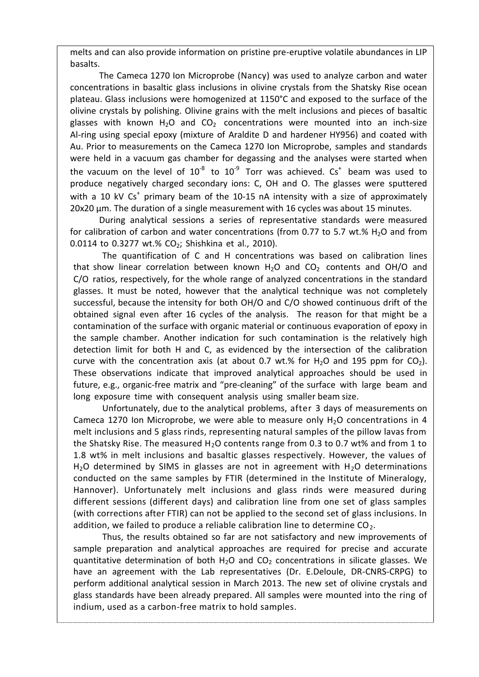melts and can also provide information on pristine pre-eruptive volatile abundances in LIP basalts.

The Cameca 1270 Ion Microprobe (Nancy) was used to analyze carbon and water concentrations in basaltic glass inclusions in olivine crystals from the Shatsky Rise ocean plateau. Glass inclusions were homogenized at 1150°C and exposed to the surface of the olivine crystals by polishing. Olivine grains with the melt inclusions and pieces of basaltic glasses with known  $H_2O$  and  $CO_2$  concentrations were mounted into an inch-size Al-ring using special epoxy (mixture of Araldite D and hardener HY956) and coated with Au. Prior to measurements on the Cameca 1270 Ion Microprobe, samples and standards were held in a vacuum gas chamber for degassing and the analyses were started when the vacuum on the level of  $10^{-8}$  to  $10^{-9}$  Torr was achieved. Cs<sup>+</sup> beam was used to produce negatively charged secondary ions: C, OH and O. The glasses were sputtered with a 10 kV  $Cs<sup>+</sup>$  primary beam of the 10-15 nA intensity with a size of approximately 20x20 µm. The duration of a single measurement with 16 cycles was about 15 minutes.

During analytical sessions a series of representative standards were measured for calibration of carbon and water concentrations (from 0.77 to 5.7 wt.%  $H_2O$  and from 0.0114 to 0.3277 wt.%  $CO_2$ ; Shishkina et al., 2010).

The quantification of C and H concentrations was based on calibration lines that show linear correlation between known  $H_2O$  and  $CO_2$  contents and OH/O and C/O ratios, respectively, for the whole range of analyzed concentrations in the standard glasses. It must be noted, however that the analytical technique was not completely successful, because the intensity for both OH/O and C/O showed continuous drift of the obtained signal even after 16 cycles of the analysis. The reason for that might be a contamination of the surface with organic material or continuous evaporation of epoxy in the sample chamber. Another indication for such contamination is the relatively high detection limit for both H and C, as evidenced by the intersection of the calibration curve with the concentration axis (at about 0.7 wt.% for H<sub>2</sub>O and 195 ppm for CO<sub>2</sub>). These observations indicate that improved analytical approaches should be used in future, e.g., organic-free matrix and "pre-cleaning" of the surface with large beam and long exposure time with consequent analysis using smaller beam size.

Unfortunately, due to the analytical problems, after 3 days of measurements on Cameca 1270 Ion Microprobe, we were able to measure only  $H<sub>2</sub>O$  concentrations in 4 melt inclusions and 5 glass rinds, representing natural samples of the pillow lavas from the Shatsky Rise. The measured  $H_2O$  contents range from 0.3 to 0.7 wt% and from 1 to 1.8 wt% in melt inclusions and basaltic glasses respectively. However, the values of H<sub>2</sub>O determined by SIMS in glasses are not in agreement with H<sub>2</sub>O determinations conducted on the same samples by FTIR (determined in the Institute of Mineralogy, Hannover). Unfortunately melt inclusions and glass rinds were measured during different sessions (different days) and calibration line from one set of glass samples (with corrections after FTIR) can not be applied to the second set of glass inclusions. In addition, we failed to produce a reliable calibration line to determine  $CO<sub>2</sub>$ .

Thus, the results obtained so far are not satisfactory and new improvements of sample preparation and analytical approaches are required for precise and accurate quantitative determination of both  $H_2O$  and  $CO_2$  concentrations in silicate glasses. We have an agreement with the Lab representatives (Dr. E.Deloule, DR‐CNRS‐CRPG) to perform additional analytical session in March 2013. The new set of olivine crystals and glass standards have been already prepared. All samples were mounted into the ring of indium, used as a carbon-free matrix to hold samples.